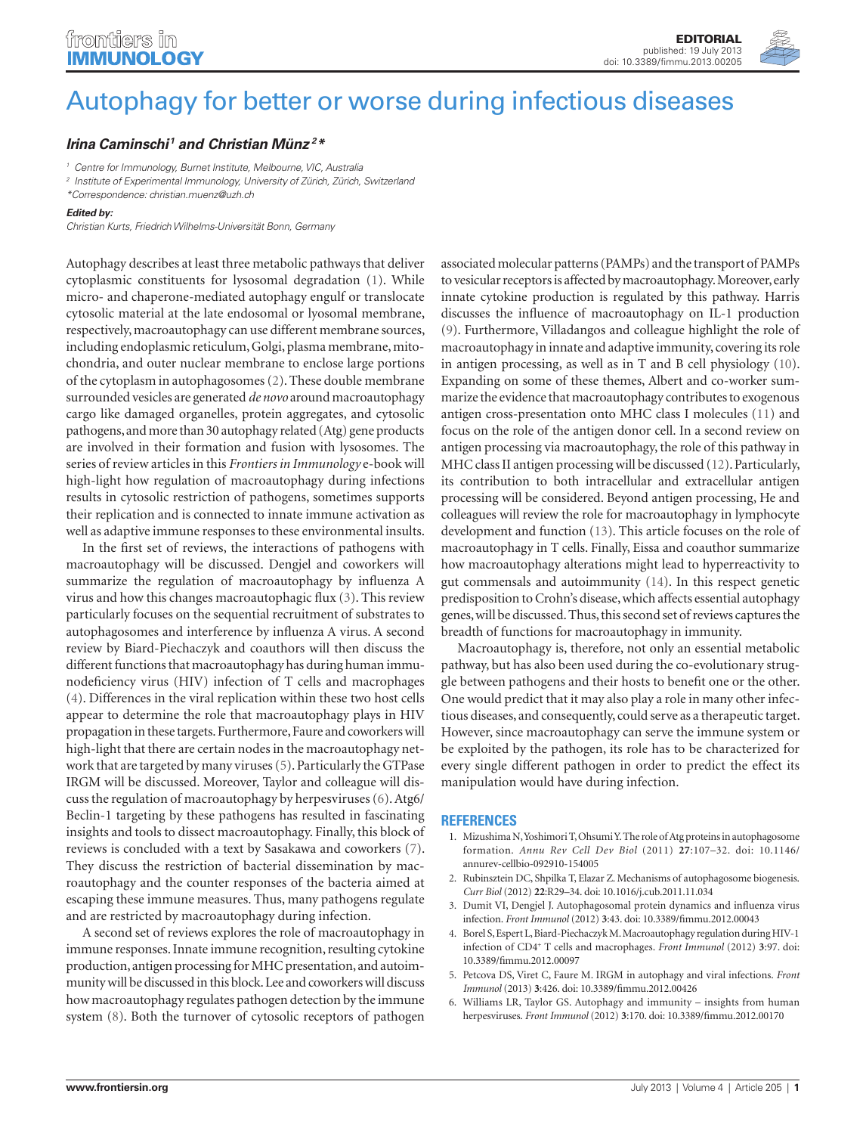## <span id="page-0-0"></span>[Autophagy for better or worse during infectious diseases](http://www.frontiersin.org/Antigen_Presenting_Cell_Biology/10.3389/fimmu.2013.00205/full)

## *[Irina Caminschi](http://www.frontiersin.org/Community/WhosWhoActivity.aspx?sname=IrinaCaminschi&UID=29882) <sup>1</sup> and [Christian Münz](http://www.frontiersin.org/Community/WhosWhoActivity.aspx?sname=ChristianMuenz&UID=15937) 2\**

*<sup>1</sup> Centre for Immunology, Burnet Institute, Melbourne, VIC, Australia*

*<sup>2</sup> Institute of Experimental Immunology, University of Zürich, Zürich, Switzerland*

*\*Correspondence: [christian.muenz@uzh.ch](mailto:christian.muenz@uzh.ch)*

## *Edited by:*

*Christian Kurts, Friedrich Wilhelms-Universität Bonn, Germany*

Autophagy describes at least three metabolic pathways that deliver cytoplasmic constituents for lysosomal degradation [\(1\)](#page-0-0). While micro- and chaperone-mediated autophagy engulf or translocate cytosolic material at the late endosomal or lyosomal membrane, respectively, macroautophagy can use different membrane sources, including endoplasmic reticulum, Golgi, plasma membrane, mitochondria, and outer nuclear membrane to enclose large portions of the cytoplasm in autophagosomes [\(2\)](#page-0-0). These double membrane surrounded vesicles are generated *de novo* around macroautophagy cargo like damaged organelles, protein aggregates, and cytosolic pathogens, and more than 30 autophagy related (Atg) gene products are involved in their formation and fusion with lysosomes. The series of review articles in this *Frontiers in Immunology* e-book will high-light how regulation of macroautophagy during infections results in cytosolic restriction of pathogens, sometimes supports their replication and is connected to innate immune activation as well as adaptive immune responses to these environmental insults.

In the first set of reviews, the interactions of pathogens with macroautophagy will be discussed. Dengjel and coworkers will summarize the regulation of macroautophagy by influenza A virus and how this changes macroautophagic flux [\(3\)](#page-0-0). This review particularly focuses on the sequential recruitment of substrates to autophagosomes and interference by influenza A virus. A second review by Biard-Piechaczyk and coauthors will then discuss the different functions that macroautophagy has during human immunodeficiency virus (HIV) infection of T cells and macrophages [\(4\).](#page-0-0) Differences in the viral replication within these two host cells appear to determine the role that macroautophagy plays in HIV propagation in these targets. Furthermore, Faure and coworkers will high-light that there are certain nodes in the macroautophagy network that are targeted by many viruses [\(5\)](#page-0-0). Particularly the GTPase IRGM will be discussed. Moreover, Taylor and colleague will discuss the regulation of macroautophagy by herpesviruses [\(6\).](#page-0-0) Atg6/ Beclin-1 targeting by these pathogens has resulted in fascinating insights and tools to dissect macroautophagy. Finally, this block of reviews is concluded with a text by Sasakawa and coworkers [\(7\)](#page-1-0). They discuss the restriction of bacterial dissemination by macroautophagy and the counter responses of the bacteria aimed at escaping these immune measures. Thus, many pathogens regulate and are restricted by macroautophagy during infection.

A second set of reviews explores the role of macroautophagy in immune responses. Innate immune recognition, resulting cytokine production, antigen processing for MHC presentation, and autoimmunity will be discussed in this block. Lee and coworkers will discuss how macroautophagy regulates pathogen detection by the immune system [\(8\)](#page-1-0). Both the turnover of cytosolic receptors of pathogen

associated molecular patterns (PAMPs) and the transport of PAMPs to vesicular receptors is affected by macroautophagy. Moreover, early innate cytokine production is regulated by this pathway. Harris discusses the influence of macroautophagy on IL-1 production [\(9\)](#page-1-0). Furthermore, Villadangos and colleague highlight the role of macroautophagy in innate and adaptive immunity, covering its role in antigen processing, as well as in T and B cell physiology [\(10\)](#page-1-0). Expanding on some of these themes, Albert and co-worker summarize the evidence that macroautophagy contributes to exogenous antigen cross-presentation onto MHC class I molecules [\(11\)](#page-1-0) and focus on the role of the antigen donor cell. In a second review on antigen processing via macroautophagy, the role of this pathway in MHC class II antigen processing will be discussed [\(12\)](#page-1-0). Particularly, its contribution to both intracellular and extracellular antigen processing will be considered. Beyond antigen processing, He and colleagues will review the role for macroautophagy in lymphocyte development and function [\(13\)](#page-1-0). This article focuses on the role of macroautophagy in T cells. Finally, Eissa and coauthor summarize how macroautophagy alterations might lead to hyperreactivity to gut commensals and autoimmunity [\(14\)](#page-1-0). In this respect genetic predisposition to Crohn's disease, which affects essential autophagy genes, will be discussed. Thus, this second set of reviews captures the breadth of functions for macroautophagy in immunity.

Macroautophagy is, therefore, not only an essential metabolic pathway, but has also been used during the co-evolutionary struggle between pathogens and their hosts to benefit one or the other. One would predict that it may also play a role in many other infectious diseases, and consequently, could serve as a therapeutic target. However, since macroautophagy can serve the immune system or be exploited by the pathogen, its role has to be characterized for every single different pathogen in order to predict the effect its manipulation would have during infection.

## **References**

- 1. Mizushima N, Yoshimori T, Ohsumi Y. The role of Atg proteins in autophagosome formation. *Annu Rev Cell Dev Biol* (2011) **27**:107–32. doi: 10.1146/ annurev-cellbio-092910-154005
- 2. Rubinsztein DC, Shpilka T, Elazar Z. Mechanisms of autophagosome biogenesis. *Curr Biol* (2012) **22**:R29–34. doi: 10.1016/j.cub.2011.11.034
- 3. Dumit VI, Dengjel J. Autophagosomal protein dynamics and influenza virus infection. *Front Immunol* (2012) **3**:43. doi: 10.3389/fimmu.2012.00043
- 4. Borel S, Espert L, Biard-Piechaczyk M. Macroautophagy regulation during HIV-1 infection of CD4<sup>+</sup> T cells and macrophages. *Front Immunol* (2012) **3**:97. doi: 10.3389/fimmu.2012.00097
- 5. Petcova DS, Viret C, Faure M. IRGM in autophagy and viral infections. *Front Immunol* (2013) **3**:426. doi: 10.3389/fimmu.2012.00426
- 6. Williams LR, Taylor GS. Autophagy and immunity insights from human herpesviruses. *Front Immunol* (2012) **3**:170. doi: 10.3389/fimmu.2012.00170